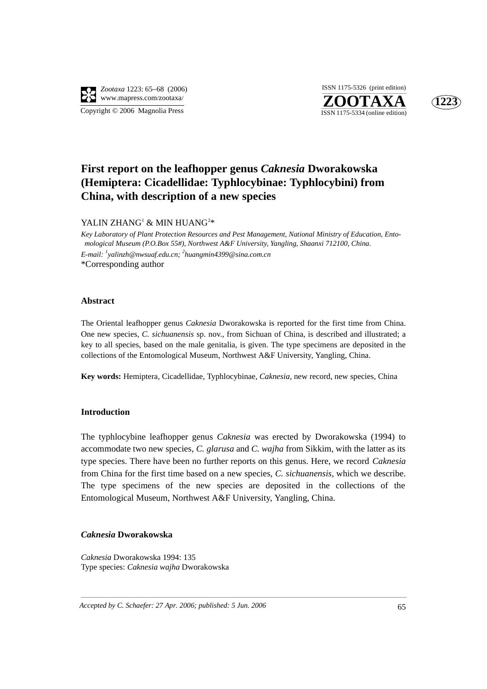

**ZOOTAXA**<br>ISSN 1175-5334 (online edition) ISSN 1175-5326 (print edition)



# **First report on the leafhopper genus** *Caknesia* **Dworakowska (Hemiptera: Cicadellidae: Typhlocybinae: Typhlocybini) from China, with description of a new species**

YALIN ZHANG<sup>1</sup> & MIN HUANG<sup>2</sup>\*

*Key Laboratory of Plant Protection Resources and Pest Management, National Ministry of Education, Entomological Museum (P.O.Box 55#), Northwest A&F University, Yangling, Shaanxi 712100, China. E-mail: <sup>1</sup> yalinzh@nwsuaf.edu.cn; <sup>2</sup> huangmin4399@sina.com.cn* \*Corresponding author

#### **Abstract**

The Oriental leafhopper genus *Caknesia* Dworakowska is reported for the first time from China. One new species, *C. sichuanensis* sp. nov., from Sichuan of China, is described and illustrated; a key to all species, based on the male genitalia, is given. The type specimens are deposited in the collections of the Entomological Museum, Northwest A&F University, Yangling, China.

**Key words:** Hemiptera, Cicadellidae, Typhlocybinae, *Caknesia*, new record, new species, China

#### **Introduction**

The typhlocybine leafhopper genus *Caknesia* was erected by Dworakowska (1994) to accommodate two new species, *C. glarusa* and *C. wajha* from Sikkim, with the latter as its type species. There have been no further reports on this genus. Here, we record *Caknesia* from China for the first time based on a new species, *C. sichuanensis*, which we describe. The type specimens of the new species are deposited in the collections of the Entomological Museum, Northwest A&F University, Yangling, China.

#### *Caknesia* **Dworakowska**

*Caknesia* Dworakowska 1994: 135 Type species: *Caknesia wajha* Dworakowska

*Accepted by C. Schaefer: 27 Apr. 2006; published: 5 Jun. 2006* 65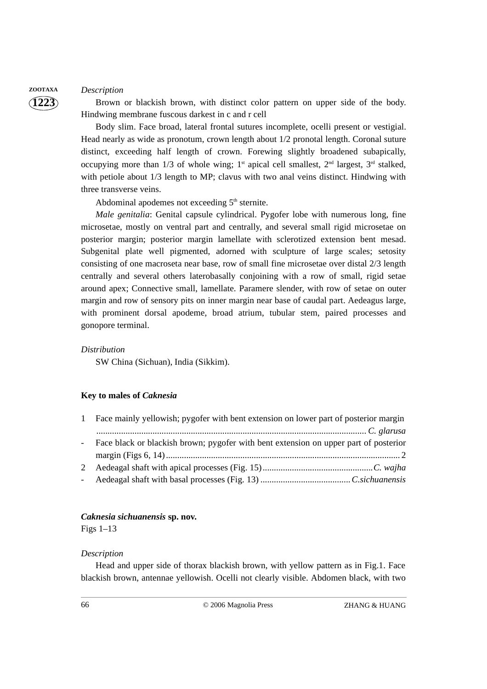## **ZOOTAXA** *Description*

**1223**

Brown or blackish brown, with distinct color pattern on upper side of the body. Hindwing membrane fuscous darkest in c and r cell

Body slim. Face broad, lateral frontal sutures incomplete, ocelli present or vestigial. Head nearly as wide as pronotum, crown length about 1/2 pronotal length. Coronal suture distinct, exceeding half length of crown. Forewing slightly broadened subapically, occupying more than  $1/3$  of whole wing; 1<sup>st</sup> apical cell smallest, 2<sup>nd</sup> largest, 3<sup>rd</sup> stalked, with petiole about 1/3 length to MP; clavus with two anal veins distinct. Hindwing with three transverse veins.

Abdominal apodemes not exceeding  $5<sup>th</sup>$  sternite.

*Male genitalia*: Genital capsule cylindrical. Pygofer lobe with numerous long, fine microsetae, mostly on ventral part and centrally, and several small rigid microsetae on posterior margin; posterior margin lamellate with sclerotized extension bent mesad. Subgenital plate well pigmented, adorned with sculpture of large scales; setosity consisting of one macroseta near base, row of small fine microsetae over distal 2/3 length centrally and several others laterobasally conjoining with a row of small, rigid setae around apex; Connective small, lamellate. Paramere slender, with row of setae on outer margin and row of sensory pits on inner margin near base of caudal part. Aedeagus large, with prominent dorsal apodeme, broad atrium, tubular stem, paired processes and gonopore terminal.

#### *Distribution*

SW China (Sichuan), India (Sikkim).

#### **Key to males of** *Caknesia*

| $\mathbf{1}$ | Face mainly yellowish; pygofer with bent extension on lower part of posterior margin   |
|--------------|----------------------------------------------------------------------------------------|
|              |                                                                                        |
|              | - Face black or blackish brown; pygofer with bent extension on upper part of posterior |
|              |                                                                                        |
|              |                                                                                        |
|              |                                                                                        |

#### *Caknesia sichuanensis* **sp. nov.**

Figs  $1-13$ 

#### *Description*

Head and upper side of thorax blackish brown, with yellow pattern as in Fig.1. Face blackish brown, antennae yellowish. Ocelli not clearly visible. Abdomen black, with two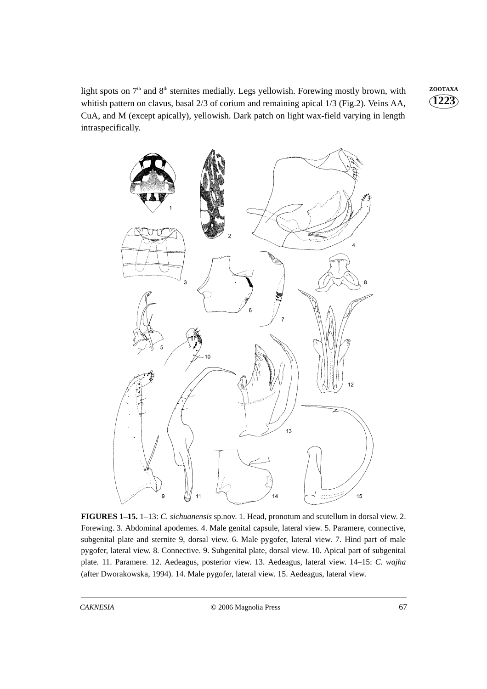light spots on 7<sup>th</sup> and 8<sup>th</sup> sternites medially. Legs yellowish. Forewing mostly brown, with <sup>zOOTAXA</sup> whitish pattern on clavus, basal 2/3 of corium and remaining apical 1/3 (Fig.2). Veins AA, CuA, and M (except apically), yellowish. Dark patch on light wax-field varying in length intraspecifically.





**FIGURES 1–15.** 1–13: *C. sichuanensis* sp.nov. 1. Head, pronotum and scutellum in dorsal view. 2. Forewing. 3. Abdominal apodemes. 4. Male genital capsule, lateral view. 5. Paramere, connective, subgenital plate and sternite 9, dorsal view. 6. Male pygofer, lateral view. 7. Hind part of male pygofer, lateral view. 8. Connective. 9. Subgenital plate, dorsal view. 10. Apical part of subgenital plate. 11. Paramere. 12. Aedeagus, posterior view. 13. Aedeagus, lateral view. 14–15: *C. wajha* (after Dworakowska, 1994)*.* 14. Male pygofer, lateral view. 15. Aedeagus, lateral view.